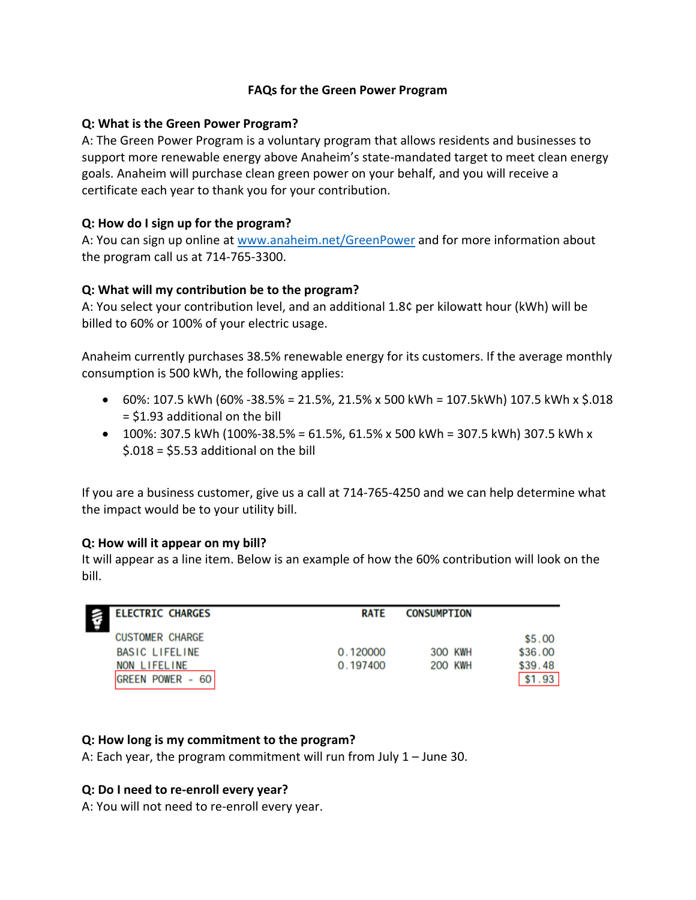## **FAQs for the Green Power Program**

#### **Q: What is the Green Power Program?**

A: The Green Power Program is a voluntary program that allows residents and businesses to support more renewable energy above Anaheim's state-mandated target to meet clean energy goals. Anaheim will purchase clean green power on your behalf, and you will receive a certificate each year to thank you for your contribution.

## **Q: How do I sign up for the program?**

A: You can sign up online at [www.anaheim.net/GreenPower](http://www.anaheim.net/GreenPower) and for more information about the program call us at 714-765-3300.

## **Q: What will my contribution be to the program?**

A: You select your contribution level, and an additional 1.8¢ per kilowatt hour (kWh) will be billed to 60% or 100% of your electric usage.

Anaheim currently purchases 38.5% renewable energy for its customers. If the average monthly consumption is 500 kWh, the following applies:

- 60%: 107.5 kWh (60% -38.5% = 21.5%, 21.5% x 500 kWh = 107.5 kWh) 107.5 kWh x \$.018 = \$1.93 additional on the bill
- $\bullet$  100%: 307.5 kWh (100%-38.5% = 61.5%, 61.5% x 500 kWh = 307.5 kWh) 307.5 kWh x \$.018 = \$5.53 additional on the bill

If you are a business customer, give us a call at 714-765-4250 and we can help determine what the impact would be to your utility bill.

#### **Q: How will it appear on my bill?**

It will appear as a line item. Below is an example of how the 60% contribution will look on the bill.

| <b>ELECTRIC CHARGES</b> | <b>RATE</b> | <b>CONSUMPTION</b> |         |
|-------------------------|-------------|--------------------|---------|
| <b>CUSTOMER CHARGE</b>  |             |                    | \$5.00  |
| BASIC LIFELINE          | 0.120000    | 300 KWH            | \$36.00 |
| NON LIFELINE            | 0.197400    | <b>200 KWH</b>     | \$39.48 |
| GREEN POWER -<br>60     |             |                    | \$1.93  |

## **Q: How long is my commitment to the program?**

A: Each year, the program commitment will run from July 1 – June 30.

## **Q: Do I need to re-enroll every year?**

A: You will not need to re-enroll every year.